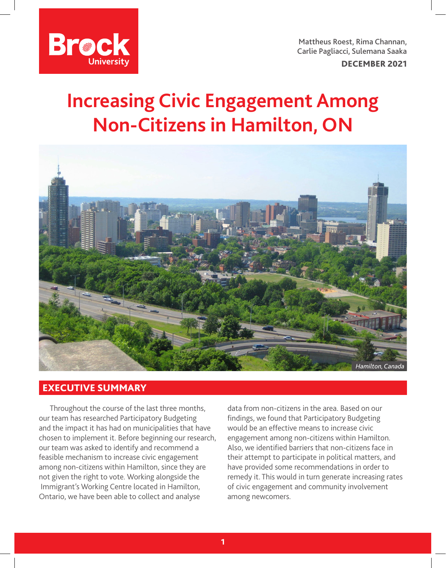

Mattheus Roest, Rima Channan, Carlie Pagliacci, Sulemana Saaka

DECEMBER 2021

## **Increasing Civic Engagement Among Non-Citizens in Hamilton, ON**



## EXECUTIVE SUMMARY

Throughout the course of the last three months, our team has researched Participatory Budgeting and the impact it has had on municipalities that have chosen to implement it. Before beginning our research, our team was asked to identify and recommend a feasible mechanism to increase civic engagement among non-citizens within Hamilton, since they are not given the right to vote. Working alongside the Immigrant's Working Centre located in Hamilton, Ontario, we have been able to collect and analyse

data from non-citizens in the area. Based on our findings, we found that Participatory Budgeting would be an effective means to increase civic engagement among non-citizens within Hamilton. Also, we identified barriers that non-citizens face in their attempt to participate in political matters, and have provided some recommendations in order to remedy it. This would in turn generate increasing rates of civic engagement and community involvement among newcomers.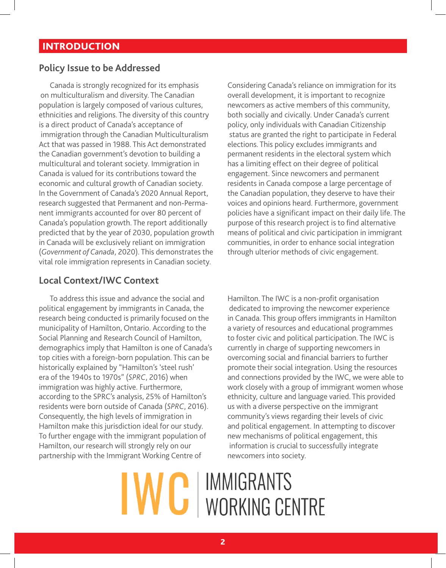## **INTRODUCTION**

## **Policy Issue to be Addressed**

Canada is strongly recognized for its emphasis on multiculturalism and diversity. The Canadian population is largely composed of various cultures, ethnicities and religions. The diversity of this country is a direct product of Canada's acceptance of immigration through the Canadian Multiculturalism Act that was passed in 1988. This Act demonstrated the Canadian government's devotion to building a multicultural and tolerant society. Immigration in Canada is valued for its contributions toward the economic and cultural growth of Canadian society. In the Government of Canada's 2020 Annual Report, research suggested that Permanent and non-Permanent immigrants accounted for over 80 percent of Canada's population growth. The report additionally predicted that by the year of 2030, population growth in Canada will be exclusively reliant on immigration (*Government of Canada*, 2020). This demonstrates the vital role immigration represents in Canadian society.

#### **Local Context/IWC Context**

To address this issue and advance the social and political engagement by immigrants in Canada, the research being conducted is primarily focused on the municipality of Hamilton, Ontario. According to the Social Planning and Research Council of Hamilton, demographics imply that Hamilton is one of Canada's top cities with a foreign-born population. This can be historically explained by "Hamilton's 'steel rush' era of the 1940s to 1970s" (*SPRC*, 2016) when immigration was highly active. Furthermore, according to the SPRC's analysis, 25% of Hamilton's residents were born outside of Canada (*SPRC*, 2016). Consequently, the high levels of immigration in Hamilton make this jurisdiction ideal for our study. To further engage with the immigrant population of Hamilton, our research will strongly rely on our partnership with the Immigrant Working Centre of

Considering Canada's reliance on immigration for its overall development, it is important to recognize newcomers as active members of this community, both socially and civically. Under Canada's current policy, only individuals with Canadian Citizenship status are granted the right to participate in Federal elections. This policy excludes immigrants and permanent residents in the electoral system which has a limiting effect on their degree of political engagement. Since newcomers and permanent residents in Canada compose a large percentage of the Canadian population, they deserve to have their voices and opinions heard. Furthermore, government policies have a significant impact on their daily life. The purpose of this research project is to find alternative means of political and civic participation in immigrant communities, in order to enhance social integration through ulterior methods of civic engagement.

Hamilton. The IWC is a non-profit organisation dedicated to improving the newcomer experience in Canada. This group offers immigrants in Hamilton a variety of resources and educational programmes to foster civic and political participation. The IWC is currently in charge of supporting newcomers in overcoming social and financial barriers to further promote their social integration. Using the resources and connections provided by the IWC, we were able to work closely with a group of immigrant women whose ethnicity, culture and language varied. This provided us with a diverse perspective on the immigrant community's views regarding their levels of civic and political engagement. In attempting to discover new mechanisms of political engagement, this information is crucial to successfully integrate newcomers into society.

# **IMMIGRANTS** WORKING CENTRE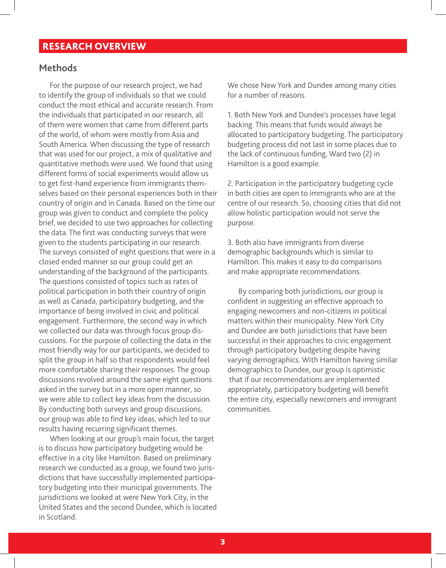## RESEARCH OVERVIEW

#### **Methods**

For the purpose of our research project, we had to identify the group of individuals so that we could conduct the most ethical and accurate research. From the individuals that participated in our research, all of them were women that came from different parts of the world, of whom were mostly from Asia and South America. When discussing the type of research that was used for our project, a mix of qualitative and quantitative methods were used. We found that using different forms of social experiments would allow us to get first-hand experience from immigrants themselves based on their personal experiences both in their country of origin and in Canada. Based on the time our group was given to conduct and complete the policy brief, we decided to use two approaches for collecting the data. The first was conducting surveys that were given to the students participating in our research. The surveys consisted of eight questions that were in a closed ended manner so our group could get an understanding of the background of the participants. The questions consisted of topics such as rates of political participation in both their country of origin as well as Canada, participatory budgeting, and the importance of being involved in civic and political engagement. Furthermore, the second way in which we collected our data was through focus group discussions. For the purpose of collecting the data in the most friendly way for our participants, we decided to split the group in half so that respondents would feel more comfortable sharing their responses. The group discussions revolved around the same eight questions asked in the survey but in a more open manner, so we were able to collect key ideas from the discussion. By conducting both surveys and group discussions, our group was able to find key ideas, which led to our results having recurring significant themes.

When looking at our group's main focus, the target is to discuss how participatory budgeting would be effective in a city like Hamilton. Based on preliminary research we conducted as a group, we found two jurisdictions that have successfully implemented participatory budgeting into their municipal governments. The jurisdictions we looked at were New York City, in the United States and the second Dundee, which is located in Scotland.

We chose New York and Dundee among many cities for a number of reasons.

1. Both New York and Dundee's processes have legal backing. This means that funds would always be allocated to participatory budgeting. The participatory budgeting process did not last in some places due to the lack of continuous funding, Ward two (2) in Hamilton is a good example.

2. Participation in the participatory budgeting cycle in both cities are open to immigrants who are at the centre of our research. So, choosing cities that did not allow holistic participation would not serve the purpose.

3. Both also have immigrants from diverse demographic backgrounds which is similar to Hamilton. This makes it easy to do comparisons and make appropriate recommendations.

By comparing both jurisdictions, our group is confident in suggesting an effective approach to engaging newcomers and non-citizens in political matters within their municipality. New York City and Dundee are both jurisdictions that have been successful in their approaches to civic engagement through participatory budgeting despite having varying demographics. With Hamilton having similar demographics to Dundee, our group is optimistic that if our recommendations are implemented appropriately, participatory budgeting will benefit the entire city, especially newcomers and immigrant communities.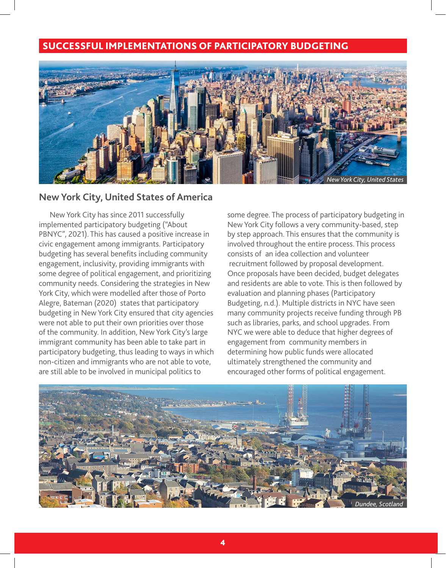## SUCCESSFUL IMPLEMENTATIONS OF PARTICIPATORY BUDGETING



#### **New York City, United States of America**

New York City has since 2011 successfully implemented participatory budgeting ("About PBNYC", 2021). This has caused a positive increase in civic engagement among immigrants. Participatory budgeting has several benefits including community engagement, inclusivity, providing immigrants with some degree of political engagement, and prioritizing community needs. Considering the strategies in New York City, which were modelled after those of Porto Alegre, Bateman (2020) states that participatory budgeting in New York City ensured that city agencies were not able to put their own priorities over those of the community. In addition, New York City's large immigrant community has been able to take part in participatory budgeting, thus leading to ways in which non-citizen and immigrants who are not able to vote, are still able to be involved in municipal politics to

some degree. The process of participatory budgeting in New York City follows a very community-based, step by step approach. This ensures that the community is involved throughout the entire process. This process consists of an idea collection and volunteer recruitment followed by proposal development. Once proposals have been decided, budget delegates and residents are able to vote. This is then followed by evaluation and planning phases (Participatory Budgeting, n.d.). Multiple districts in NYC have seen many community projects receive funding through PB such as libraries, parks, and school upgrades. From NYC we were able to deduce that higher degrees of engagement from community members in determining how public funds were allocated ultimately strengthened the community and encouraged other forms of political engagement.

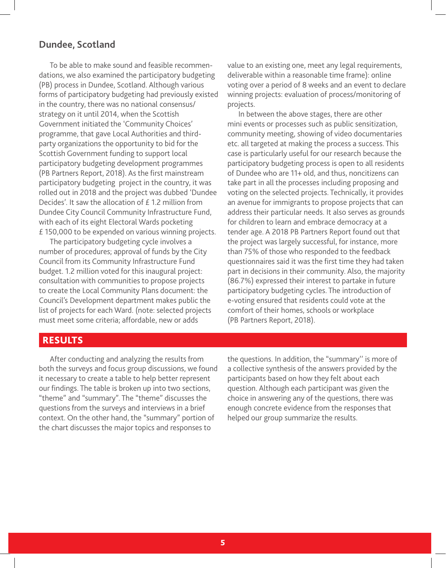#### **Dundee, Scotland**

To be able to make sound and feasible recommendations, we also examined the participatory budgeting (PB) process in Dundee, Scotland. Although various forms of participatory budgeting had previously existed in the country, there was no national consensus/ strategy on it until 2014, when the Scottish Government initiated the 'Community Choices' programme, that gave Local Authorities and thirdparty organizations the opportunity to bid for the Scottish Government funding to support local participatory budgeting development programmes (PB Partners Report, 2018). As the first mainstream participatory budgeting project in the country, it was rolled out in 2018 and the project was dubbed 'Dundee Decides'. It saw the allocation of £ 1.2 million from Dundee City Council Community Infrastructure Fund, with each of its eight Electoral Wards pocketing £ 150,000 to be expended on various winning projects.

The participatory budgeting cycle involves a number of procedures; approval of funds by the City Council from its Community Infrastructure Fund budget. 1.2 million voted for this inaugural project: consultation with communities to propose projects to create the Local Community Plans document: the Council's Development department makes public the list of projects for each Ward. (note: selected projects must meet some criteria; affordable, new or adds

value to an existing one, meet any legal requirements, deliverable within a reasonable time frame): online voting over a period of 8 weeks and an event to declare winning projects: evaluation of process/monitoring of projects.

In between the above stages, there are other mini events or processes such as public sensitization, community meeting, showing of video documentaries etc. all targeted at making the process a success. This case is particularly useful for our research because the participatory budgeting process is open to all residents of Dundee who are 11+ old, and thus, noncitizens can take part in all the processes including proposing and voting on the selected projects. Technically, it provides an avenue for immigrants to propose projects that can address their particular needs. It also serves as grounds for children to learn and embrace democracy at a tender age. A 2018 PB Partners Report found out that the project was largely successful, for instance, more than 75% of those who responded to the feedback questionnaires said it was the first time they had taken part in decisions in their community. Also, the majority (86.7%) expressed their interest to partake in future participatory budgeting cycles. The introduction of e-voting ensured that residents could vote at the comfort of their homes, schools or workplace (PB Partners Report, 2018).

#### **RESULTS**

After conducting and analyzing the results from both the surveys and focus group discussions, we found it necessary to create a table to help better represent our findings. The table is broken up into two sections, "theme" and "summary". The "theme" discusses the questions from the surveys and interviews in a brief context. On the other hand, the "summary" portion of the chart discusses the major topics and responses to

the questions. In addition, the "summary'' is more of a collective synthesis of the answers provided by the participants based on how they felt about each question. Although each participant was given the choice in answering any of the questions, there was enough concrete evidence from the responses that helped our group summarize the results.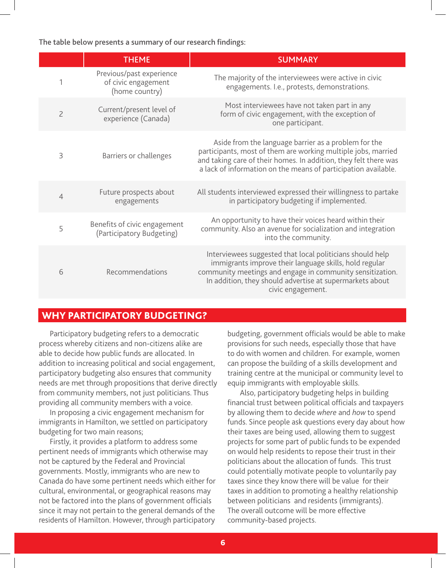The table below presents a summary of our research findings:

|                | <b>THEME</b>                                                      | <b>SUMMARY</b>                                                                                                                                                                                                                                                    |
|----------------|-------------------------------------------------------------------|-------------------------------------------------------------------------------------------------------------------------------------------------------------------------------------------------------------------------------------------------------------------|
|                | Previous/past experience<br>of civic engagement<br>(home country) | The majority of the interviewees were active in civic<br>engagements. I.e., protests, demonstrations.                                                                                                                                                             |
| $\overline{2}$ | Current/present level of<br>experience (Canada)                   | Most interviewees have not taken part in any<br>form of civic engagement, with the exception of<br>one participant.                                                                                                                                               |
| 3              | Barriers or challenges                                            | Aside from the language barrier as a problem for the<br>participants, most of them are working multiple jobs, married<br>and taking care of their homes. In addition, they felt there was<br>a lack of information on the means of participation available.       |
| $\overline{4}$ | Future prospects about<br>engagements                             | All students interviewed expressed their willingness to partake<br>in participatory budgeting if implemented.                                                                                                                                                     |
| 5              | Benefits of civic engagement<br>(Participatory Budgeting)         | An opportunity to have their voices heard within their<br>community. Also an avenue for socialization and integration<br>into the community.                                                                                                                      |
| 6              | Recommendations                                                   | Interviewees suggested that local politicians should help<br>immigrants improve their language skills, hold regular<br>community meetings and engage in community sensitization.<br>In addition, they should advertise at supermarkets about<br>civic engagement. |

#### WHY PARTICIPATORY BUDGETING?

Participatory budgeting refers to a democratic process whereby citizens and non-citizens alike are able to decide how public funds are allocated. In addition to increasing political and social engagement, participatory budgeting also ensures that community needs are met through propositions that derive directly from community members, not just politicians. Thus providing all community members with a voice.

In proposing a civic engagement mechanism for immigrants in Hamilton, we settled on participatory budgeting for two main reasons;

Firstly, it provides a platform to address some pertinent needs of immigrants which otherwise may not be captured by the Federal and Provincial governments. Mostly, immigrants who are new to Canada do have some pertinent needs which either for cultural, environmental, or geographical reasons may not be factored into the plans of government officials since it may not pertain to the general demands of the residents of Hamilton. However, through participatory

budgeting, government officials would be able to make provisions for such needs, especially those that have to do with women and children. For example, women can propose the building of a skills development and training centre at the municipal or community level to equip immigrants with employable skills.

 Also, participatory budgeting helps in building financial trust between political officials and taxpayers by allowing them to decide *where* and *how* to spend funds. Since people ask questions every day about how their taxes are being used, allowing them to suggest projects for some part of public funds to be expended on would help residents to repose their trust in their politicians about the allocation of funds. This trust could potentially motivate people to voluntarily pay taxes since they know there will be value for their taxes in addition to promoting a healthy relationship between politicians and residents (immigrants). The overall outcome will be more effective community-based projects.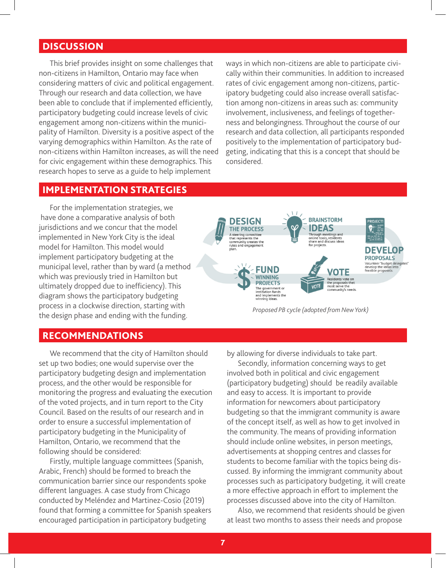#### **DISCUSSION**

This brief provides insight on some challenges that non-citizens in Hamilton, Ontario may face when considering matters of civic and political engagement. Through our research and data collection, we have been able to conclude that if implemented efficiently, participatory budgeting could increase levels of civic engagement among non-citizens within the municipality of Hamilton. Diversity is a positive aspect of the varying demographics within Hamilton. As the rate of non-citizens within Hamilton increases, as will the need for civic engagement within these demographics. This research hopes to serve as a guide to help implement

ways in which non-citizens are able to participate civically within their communities. In addition to increased rates of civic engagement among non-citizens, participatory budgeting could also increase overall satisfaction among non-citizens in areas such as: community involvement, inclusiveness, and feelings of togetherness and belongingness. Throughout the course of our research and data collection, all participants responded positively to the implementation of participatory budgeting, indicating that this is a concept that should be considered.

#### IMPLEMENTATION STRATEGIES

For the implementation strategies, we have done a comparative analysis of both jurisdictions and we concur that the model implemented in New York City is the ideal model for Hamilton. This model would implement participatory budgeting at the municipal level, rather than by ward (a method which was previously tried in Hamilton but ultimately dropped due to inefficiency). This diagram shows the participatory budgeting process in a clockwise direction, starting with the design phase and ending with the funding.



*Proposed PB cycle (adopted from New York)*

#### RECOMMENDATIONS

We recommend that the city of Hamilton should set up two bodies; one would supervise over the participatory budgeting design and implementation process, and the other would be responsible for monitoring the progress and evaluating the execution of the voted projects, and in turn report to the City Council. Based on the results of our research and in order to ensure a successful implementation of participatory budgeting in the Municipality of Hamilton, Ontario, we recommend that the following should be considered:

Firstly, multiple language committees (Spanish, Arabic, French) should be formed to breach the communication barrier since our respondents spoke different languages. A case study from Chicago conducted by Meléndez and Martinez-Cosio (2019) found that forming a committee for Spanish speakers encouraged participation in participatory budgeting

by allowing for diverse individuals to take part.

Secondly, information concerning ways to get involved both in political and civic engagement (participatory budgeting) should be readily available and easy to access. It is important to provide information for newcomers about participatory budgeting so that the immigrant community is aware of the concept itself, as well as how to get involved in the community. The means of providing information should include online websites, in person meetings, advertisements at shopping centres and classes for students to become familiar with the topics being discussed. By informing the immigrant community about processes such as participatory budgeting, it will create a more effective approach in effort to implement the processes discussed above into the city of Hamilton.

Also, we recommend that residents should be given at least two months to assess their needs and propose